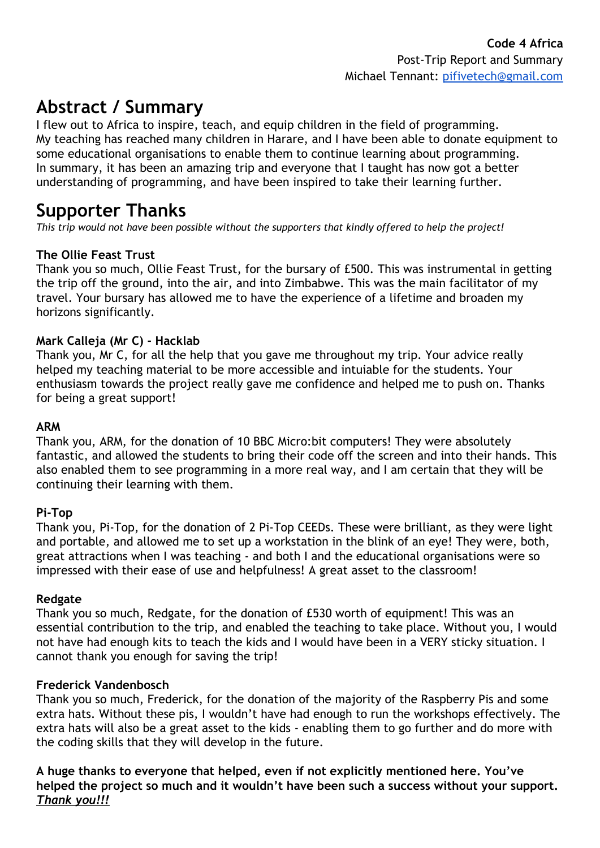# **Abstract / Summary**

I flew out to Africa to inspire, teach, and equip children in the field of programming. My teaching has reached many children in Harare, and I have been able to donate equipment to some educational organisations to enable them to continue learning about programming. In summary, it has been an amazing trip and everyone that I taught has now got a better understanding of programming, and have been inspired to take their learning further.

### **Supporter Thanks**

*This trip would not have been possible without the supporters that kindly offered to help the project!*

#### **The Ollie Feast Trust**

Thank you so much, Ollie Feast Trust, for the bursary of £500. This was instrumental in getting the trip off the ground, into the air, and into Zimbabwe. This was the main facilitator of my travel. Your bursary has allowed me to have the experience of a lifetime and broaden my horizons significantly.

#### **Mark Calleja (Mr C) - Hacklab**

Thank you, Mr C, for all the help that you gave me throughout my trip. Your advice really helped my teaching material to be more accessible and intuiable for the students. Your enthusiasm towards the project really gave me confidence and helped me to push on. Thanks for being a great support!

#### **ARM**

Thank you, ARM, for the donation of 10 BBC Micro:bit computers! They were absolutely fantastic, and allowed the students to bring their code off the screen and into their hands. This also enabled them to see programming in a more real way, and I am certain that they will be continuing their learning with them.

#### **Pi-Top**

Thank you, Pi-Top, for the donation of 2 Pi-Top CEEDs. These were brilliant, as they were light and portable, and allowed me to set up a workstation in the blink of an eye! They were, both, great attractions when I was teaching - and both I and the educational organisations were so impressed with their ease of use and helpfulness! A great asset to the classroom!

#### **Redgate**

Thank you so much, Redgate, for the donation of £530 worth of equipment! This was an essential contribution to the trip, and enabled the teaching to take place. Without you, I would not have had enough kits to teach the kids and I would have been in a VERY sticky situation. I cannot thank you enough for saving the trip!

#### **Frederick Vandenbosch**

Thank you so much, Frederick, for the donation of the majority of the Raspberry Pis and some extra hats. Without these pis, I wouldn't have had enough to run the workshops effectively. The extra hats will also be a great asset to the kids - enabling them to go further and do more with the coding skills that they will develop in the future.

**A huge thanks to everyone that helped, even if not explicitly mentioned here. You've helped the project so much and it wouldn't have been such a success without your support.** *Thank you!!!*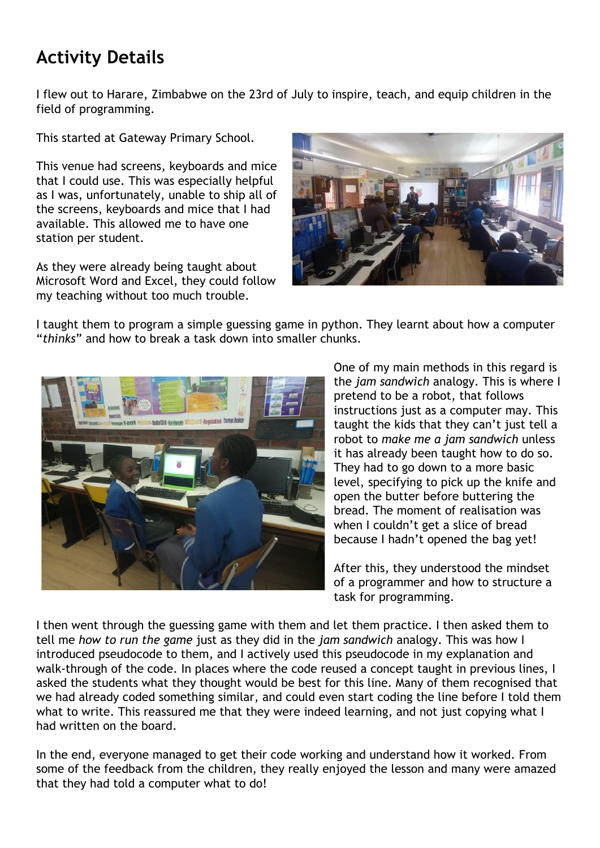# **Activity Details**

I flew out to Harare, Zimbabwe on the 23rd of July to inspire, teach, and equip children in the field of programming.

This started at Gateway Primary School.

This venue had screens, keyboards and mice that I could use. This was especially helpful as I was, unfortunately, unable to ship all of the screens, keyboards and mice that I had available. This allowed me to have one station per student.

As they were already being taught about Microsoft Word and Excel, they could follow my teaching without too much trouble.



I taught them to program a simple guessing game in python. They learnt about how a computer "*thinks*" and how to break a task down into smaller chunks.



One of my main methods in this regard is the *jam sandwich* analogy. This is where I pretend to be a robot, that follows instructions just as a computer may. This taught the kids that they can't just tell a robot to *make me a jam sandwich* unless it has already been taught how to do so. They had to go down to a more basic level, specifying to pick up the knife and open the butter before buttering the bread. The moment of realisation was when I couldn't get a slice of bread because I hadn't opened the bag yet!

After this, they understood the mindset of a programmer and how to structure a task for programming.

I then went through the guessing game with them and let them practice. I then asked them to tell me *how to run the game* just as they did in the *jam sandwich* analogy. This was how I introduced pseudocode to them, and I actively used this pseudocode in my explanation and walk-through of the code. In places where the code reused a concept taught in previous lines, I asked the students what they thought would be best for this line. Many of them recognised that we had already coded something similar, and could even start coding the line before I told them what to write. This reassured me that they were indeed learning, and not just copying what I had written on the board.

In the end, everyone managed to get their code working and understand how it worked. From some of the feedback from the children, they really enjoyed the lesson and many were amazed that they had told a computer what to do!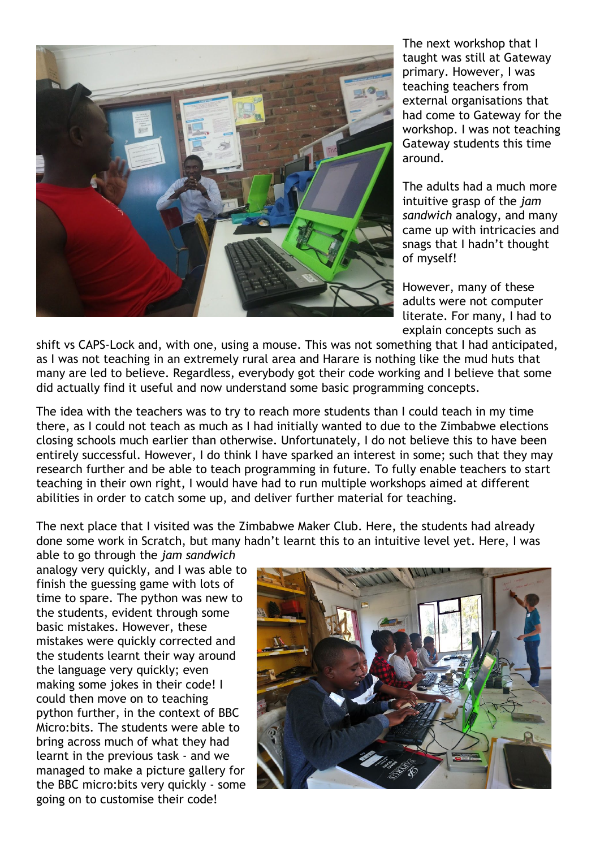

The next workshop that I taught was still at Gateway primary. However, I was teaching teachers from external organisations that had come to Gateway for the workshop. I was not teaching Gateway students this time around.

The adults had a much more intuitive grasp of the *jam sandwich* analogy, and many came up with intricacies and snags that I hadn't thought of myself!

However, many of these adults were not computer literate. For many, I had to explain concepts such as

shift vs CAPS-Lock and, with one, using a mouse. This was not something that I had anticipated, as I was not teaching in an extremely rural area and Harare is nothing like the mud huts that many are led to believe. Regardless, everybody got their code working and I believe that some did actually find it useful and now understand some basic programming concepts.

The idea with the teachers was to try to reach more students than I could teach in my time there, as I could not teach as much as I had initially wanted to due to the Zimbabwe elections closing schools much earlier than otherwise. Unfortunately, I do not believe this to have been entirely successful. However, I do think I have sparked an interest in some; such that they may research further and be able to teach programming in future. To fully enable teachers to start teaching in their own right, I would have had to run multiple workshops aimed at different abilities in order to catch some up, and deliver further material for teaching.

The next place that I visited was the Zimbabwe Maker Club. Here, the students had already done some work in Scratch, but many hadn't learnt this to an intuitive level yet. Here, I was

able to go through the *jam sandwich* analogy very quickly, and I was able to finish the guessing game with lots of time to spare. The python was new to the students, evident through some basic mistakes. However, these mistakes were quickly corrected and the students learnt their way around the language very quickly; even making some jokes in their code! I could then move on to teaching python further, in the context of BBC Micro:bits. The students were able to bring across much of what they had learnt in the previous task - and we managed to make a picture gallery for the BBC micro:bits very quickly - some going on to customise their code!